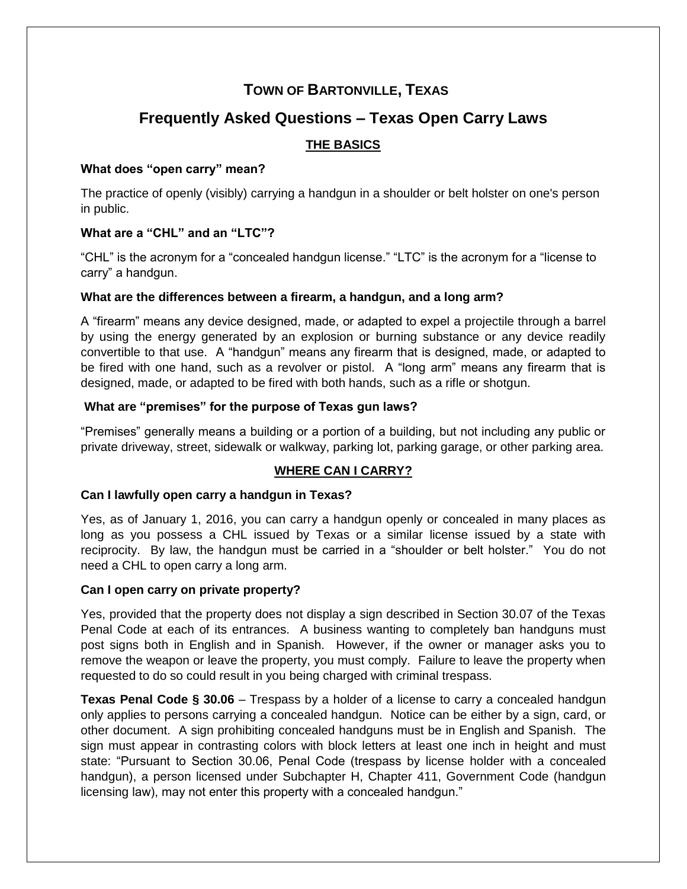# **TOWN OF BARTONVILLE, TEXAS**

# **Frequently Asked Questions – Texas Open Carry Laws**

# **THE BASICS**

# **What does "open carry" mean?**

The practice of openly (visibly) carrying a handgun in a shoulder or belt holster on one's person in public.

# **What are a "CHL" and an "LTC"?**

"CHL" is the acronym for a "concealed handgun license." "LTC" is the acronym for a "license to carry" a handgun.

## **What are the differences between a firearm, a handgun, and a long arm?**

A "firearm" means any device designed, made, or adapted to expel a projectile through a barrel by using the energy generated by an explosion or burning substance or any device readily convertible to that use. A "handgun" means any firearm that is designed, made, or adapted to be fired with one hand, such as a revolver or pistol. A "long arm" means any firearm that is designed, made, or adapted to be fired with both hands, such as a rifle or shotgun.

# **What are "premises" for the purpose of Texas gun laws?**

"Premises" generally means a building or a portion of a building, but not including any public or private driveway, street, sidewalk or walkway, parking lot, parking garage, or other parking area.

# **WHERE CAN I CARRY?**

## **Can I lawfully open carry a handgun in Texas?**

Yes, as of January 1, 2016, you can carry a handgun openly or concealed in many places as long as you possess a CHL issued by Texas or a similar license issued by a state with reciprocity. By law, the handgun must be carried in a "shoulder or belt holster." You do not need a CHL to open carry a long arm.

## **Can I open carry on private property?**

Yes, provided that the property does not display a sign described in Section 30.07 of the Texas Penal Code at each of its entrances. A business wanting to completely ban handguns must post signs both in English and in Spanish. However, if the owner or manager asks you to remove the weapon or leave the property, you must comply. Failure to leave the property when requested to do so could result in you being charged with criminal trespass.

**Texas Penal Code § 30.06** – Trespass by a holder of a license to carry a concealed handgun only applies to persons carrying a concealed handgun. Notice can be either by a sign, card, or other document. A sign prohibiting concealed handguns must be in English and Spanish. The sign must appear in contrasting colors with block letters at least one inch in height and must state: "Pursuant to Section 30.06, Penal Code (trespass by license holder with a concealed handgun), a person licensed under Subchapter H, Chapter 411, Government Code (handgun licensing law), may not enter this property with a concealed handgun."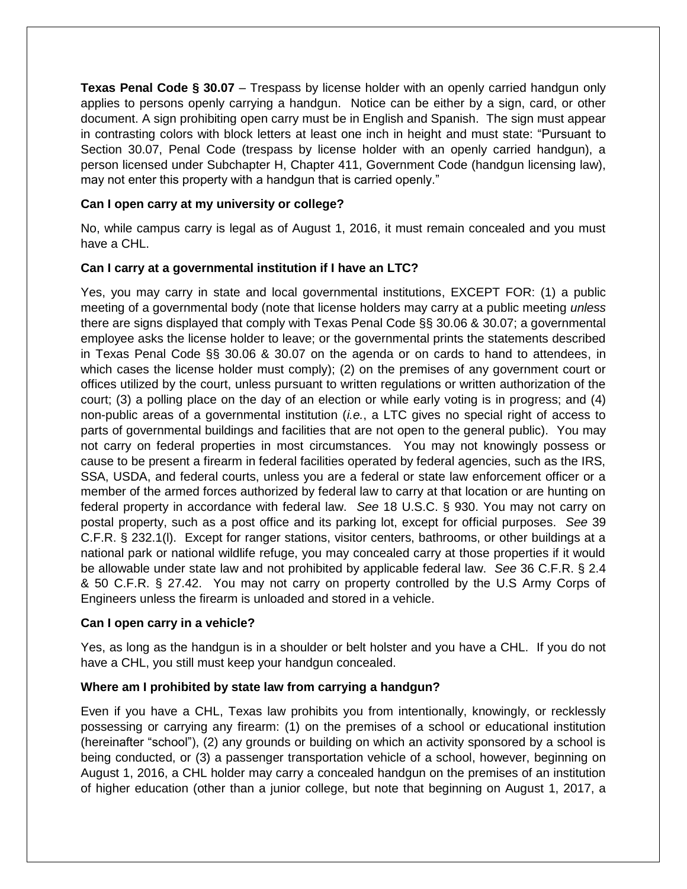**Texas Penal Code § 30.07** – Trespass by license holder with an openly carried handgun only applies to persons openly carrying a handgun. Notice can be either by a sign, card, or other document. A sign prohibiting open carry must be in English and Spanish. The sign must appear in contrasting colors with block letters at least one inch in height and must state: "Pursuant to Section 30.07, Penal Code (trespass by license holder with an openly carried handgun), a person licensed under Subchapter H, Chapter 411, Government Code (handgun licensing law), may not enter this property with a handgun that is carried openly."

## **Can I open carry at my university or college?**

No, while campus carry is legal as of August 1, 2016, it must remain concealed and you must have a CHL.

# **Can I carry at a governmental institution if I have an LTC?**

Yes, you may carry in state and local governmental institutions, EXCEPT FOR: (1) a public meeting of a governmental body (note that license holders may carry at a public meeting *unless* there are signs displayed that comply with Texas Penal Code §§ 30.06 & 30.07; a governmental employee asks the license holder to leave; or the governmental prints the statements described in Texas Penal Code §§ 30.06 & 30.07 on the agenda or on cards to hand to attendees, in which cases the license holder must comply); (2) on the premises of any government court or offices utilized by the court, unless pursuant to written regulations or written authorization of the court; (3) a polling place on the day of an election or while early voting is in progress; and (4) non-public areas of a governmental institution (*i.e.*, a LTC gives no special right of access to parts of governmental buildings and facilities that are not open to the general public). You may not carry on federal properties in most circumstances. You may not knowingly possess or cause to be present a firearm in federal facilities operated by federal agencies, such as the IRS, SSA, USDA, and federal courts, unless you are a federal or state law enforcement officer or a member of the armed forces authorized by federal law to carry at that location or are hunting on federal property in accordance with federal law. *See* 18 U.S.C. § 930. You may not carry on postal property, such as a post office and its parking lot, except for official purposes. *See* 39 C.F.R. § 232.1(l). Except for ranger stations, visitor centers, bathrooms, or other buildings at a national park or national wildlife refuge, you may concealed carry at those properties if it would be allowable under state law and not prohibited by applicable federal law. *See* 36 C.F.R. § 2.4 & 50 C.F.R. § 27.42. You may not carry on property controlled by the U.S Army Corps of Engineers unless the firearm is unloaded and stored in a vehicle.

## **Can I open carry in a vehicle?**

Yes, as long as the handgun is in a shoulder or belt holster and you have a CHL. If you do not have a CHL, you still must keep your handgun concealed.

# **Where am I prohibited by state law from carrying a handgun?**

Even if you have a CHL, Texas law prohibits you from intentionally, knowingly, or recklessly possessing or carrying any firearm: (1) on the premises of a school or educational institution (hereinafter "school"), (2) any grounds or building on which an activity sponsored by a school is being conducted, or (3) a passenger transportation vehicle of a school, however, beginning on August 1, 2016, a CHL holder may carry a concealed handgun on the premises of an institution of higher education (other than a junior college, but note that beginning on August 1, 2017, a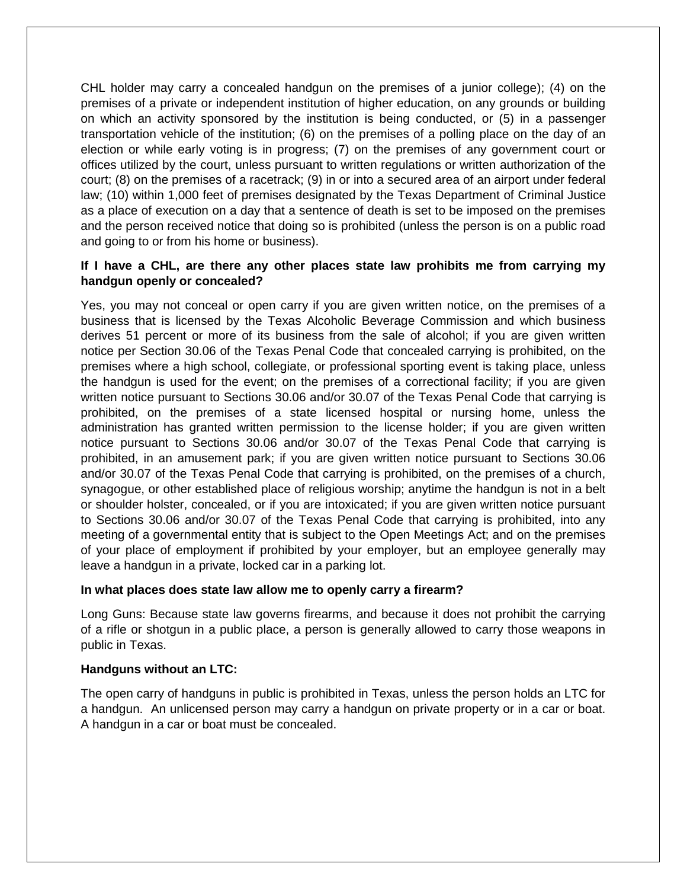CHL holder may carry a concealed handgun on the premises of a junior college); (4) on the premises of a private or independent institution of higher education, on any grounds or building on which an activity sponsored by the institution is being conducted, or (5) in a passenger transportation vehicle of the institution; (6) on the premises of a polling place on the day of an election or while early voting is in progress; (7) on the premises of any government court or offices utilized by the court, unless pursuant to written regulations or written authorization of the court; (8) on the premises of a racetrack; (9) in or into a secured area of an airport under federal law; (10) within 1,000 feet of premises designated by the Texas Department of Criminal Justice as a place of execution on a day that a sentence of death is set to be imposed on the premises and the person received notice that doing so is prohibited (unless the person is on a public road and going to or from his home or business).

# **If I have a CHL, are there any other places state law prohibits me from carrying my handgun openly or concealed?**

Yes, you may not conceal or open carry if you are given written notice, on the premises of a business that is licensed by the Texas Alcoholic Beverage Commission and which business derives 51 percent or more of its business from the sale of alcohol; if you are given written notice per Section 30.06 of the Texas Penal Code that concealed carrying is prohibited, on the premises where a high school, collegiate, or professional sporting event is taking place, unless the handgun is used for the event; on the premises of a correctional facility; if you are given written notice pursuant to Sections 30.06 and/or 30.07 of the Texas Penal Code that carrying is prohibited, on the premises of a state licensed hospital or nursing home, unless the administration has granted written permission to the license holder; if you are given written notice pursuant to Sections 30.06 and/or 30.07 of the Texas Penal Code that carrying is prohibited, in an amusement park; if you are given written notice pursuant to Sections 30.06 and/or 30.07 of the Texas Penal Code that carrying is prohibited, on the premises of a church, synagogue, or other established place of religious worship; anytime the handgun is not in a belt or shoulder holster, concealed, or if you are intoxicated; if you are given written notice pursuant to Sections 30.06 and/or 30.07 of the Texas Penal Code that carrying is prohibited, into any meeting of a governmental entity that is subject to the Open Meetings Act; and on the premises of your place of employment if prohibited by your employer, but an employee generally may leave a handgun in a private, locked car in a parking lot.

#### **In what places does state law allow me to openly carry a firearm?**

Long Guns: Because state law governs firearms, and because it does not prohibit the carrying of a rifle or shotgun in a public place, a person is generally allowed to carry those weapons in public in Texas.

#### **Handguns without an LTC:**

The open carry of handguns in public is prohibited in Texas, unless the person holds an LTC for a handgun. An unlicensed person may carry a handgun on private property or in a car or boat. A handgun in a car or boat must be concealed.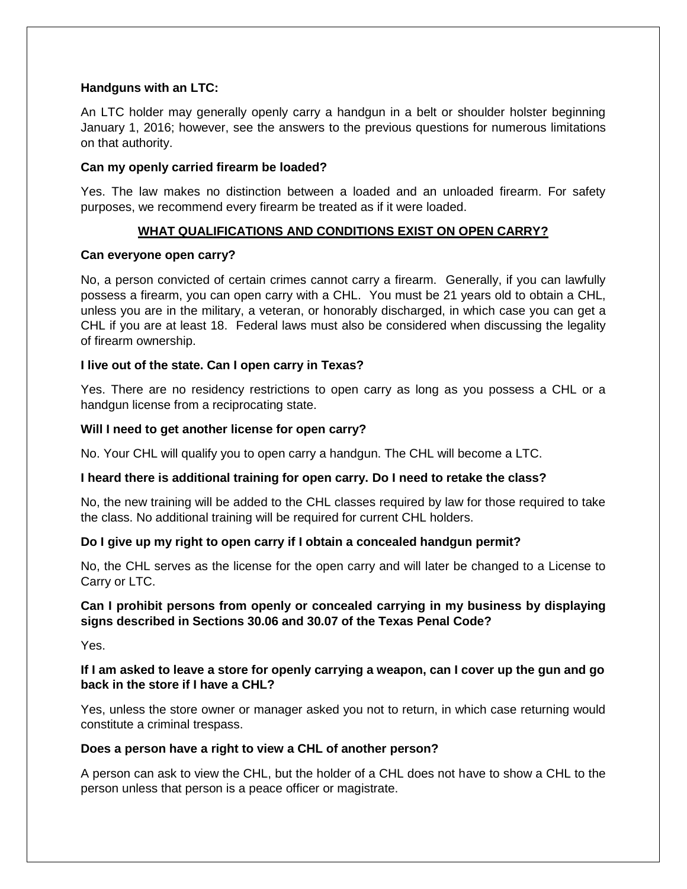#### **Handguns with an LTC:**

An LTC holder may generally openly carry a handgun in a belt or shoulder holster beginning January 1, 2016; however, see the answers to the previous questions for numerous limitations on that authority.

#### **Can my openly carried firearm be loaded?**

Yes. The law makes no distinction between a loaded and an unloaded firearm. For safety purposes, we recommend every firearm be treated as if it were loaded.

# **WHAT QUALIFICATIONS AND CONDITIONS EXIST ON OPEN CARRY?**

#### **Can everyone open carry?**

No, a person convicted of certain crimes cannot carry a firearm. Generally, if you can lawfully possess a firearm, you can open carry with a CHL. You must be 21 years old to obtain a CHL, unless you are in the military, a veteran, or honorably discharged, in which case you can get a CHL if you are at least 18. Federal laws must also be considered when discussing the legality of firearm ownership.

## **I live out of the state. Can I open carry in Texas?**

Yes. There are no residency restrictions to open carry as long as you possess a CHL or a handgun license from a reciprocating state.

#### **Will I need to get another license for open carry?**

No. Your CHL will qualify you to open carry a handgun. The CHL will become a LTC.

## **I heard there is additional training for open carry. Do I need to retake the class?**

No, the new training will be added to the CHL classes required by law for those required to take the class. No additional training will be required for current CHL holders.

## **Do I give up my right to open carry if I obtain a concealed handgun permit?**

No, the CHL serves as the license for the open carry and will later be changed to a License to Carry or LTC.

## **Can I prohibit persons from openly or concealed carrying in my business by displaying signs described in Sections 30.06 and 30.07 of the Texas Penal Code?**

Yes.

# **If I am asked to leave a store for openly carrying a weapon, can I cover up the gun and go back in the store if I have a CHL?**

Yes, unless the store owner or manager asked you not to return, in which case returning would constitute a criminal trespass.

#### **Does a person have a right to view a CHL of another person?**

A person can ask to view the CHL, but the holder of a CHL does not have to show a CHL to the person unless that person is a peace officer or magistrate.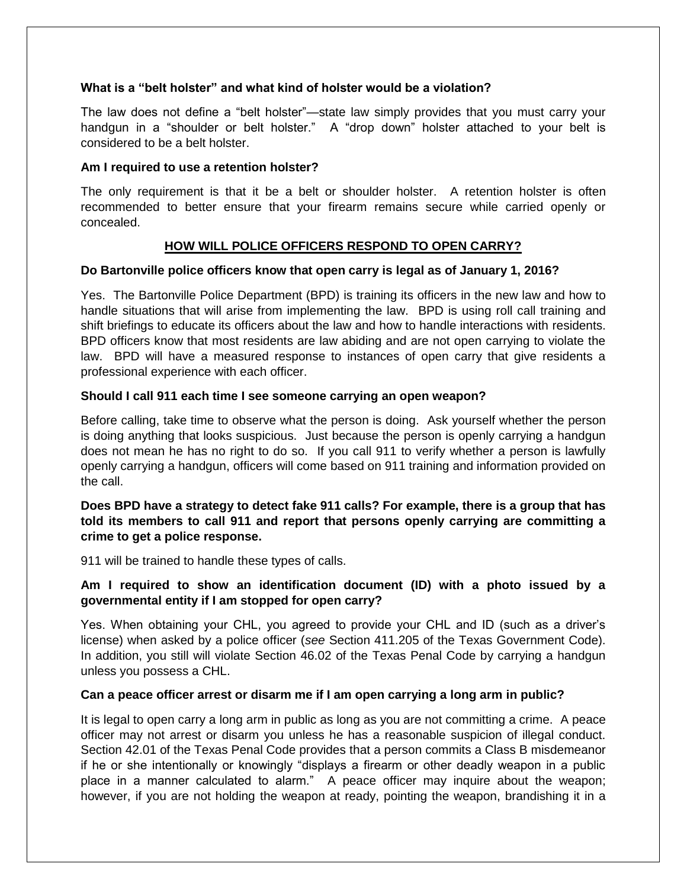#### **What is a "belt holster" and what kind of holster would be a violation?**

The law does not define a "belt holster"—state law simply provides that you must carry your handgun in a "shoulder or belt holster." A "drop down" holster attached to your belt is considered to be a belt holster.

#### **Am I required to use a retention holster?**

The only requirement is that it be a belt or shoulder holster. A retention holster is often recommended to better ensure that your firearm remains secure while carried openly or concealed.

# **HOW WILL POLICE OFFICERS RESPOND TO OPEN CARRY?**

## **Do Bartonville police officers know that open carry is legal as of January 1, 2016?**

Yes. The Bartonville Police Department (BPD) is training its officers in the new law and how to handle situations that will arise from implementing the law. BPD is using roll call training and shift briefings to educate its officers about the law and how to handle interactions with residents. BPD officers know that most residents are law abiding and are not open carrying to violate the law. BPD will have a measured response to instances of open carry that give residents a professional experience with each officer.

#### **Should I call 911 each time I see someone carrying an open weapon?**

Before calling, take time to observe what the person is doing. Ask yourself whether the person is doing anything that looks suspicious. Just because the person is openly carrying a handgun does not mean he has no right to do so. If you call 911 to verify whether a person is lawfully openly carrying a handgun, officers will come based on 911 training and information provided on the call.

## **Does BPD have a strategy to detect fake 911 calls? For example, there is a group that has told its members to call 911 and report that persons openly carrying are committing a crime to get a police response.**

911 will be trained to handle these types of calls.

## **Am I required to show an identification document (ID) with a photo issued by a governmental entity if I am stopped for open carry?**

Yes. When obtaining your CHL, you agreed to provide your CHL and ID (such as a driver's license) when asked by a police officer (*see* Section 411.205 of the Texas Government Code). In addition, you still will violate Section 46.02 of the Texas Penal Code by carrying a handgun unless you possess a CHL.

#### **Can a peace officer arrest or disarm me if I am open carrying a long arm in public?**

It is legal to open carry a long arm in public as long as you are not committing a crime. A peace officer may not arrest or disarm you unless he has a reasonable suspicion of illegal conduct. Section 42.01 of the Texas Penal Code provides that a person commits a Class B misdemeanor if he or she intentionally or knowingly "displays a firearm or other deadly weapon in a public place in a manner calculated to alarm." A peace officer may inquire about the weapon; however, if you are not holding the weapon at ready, pointing the weapon, brandishing it in a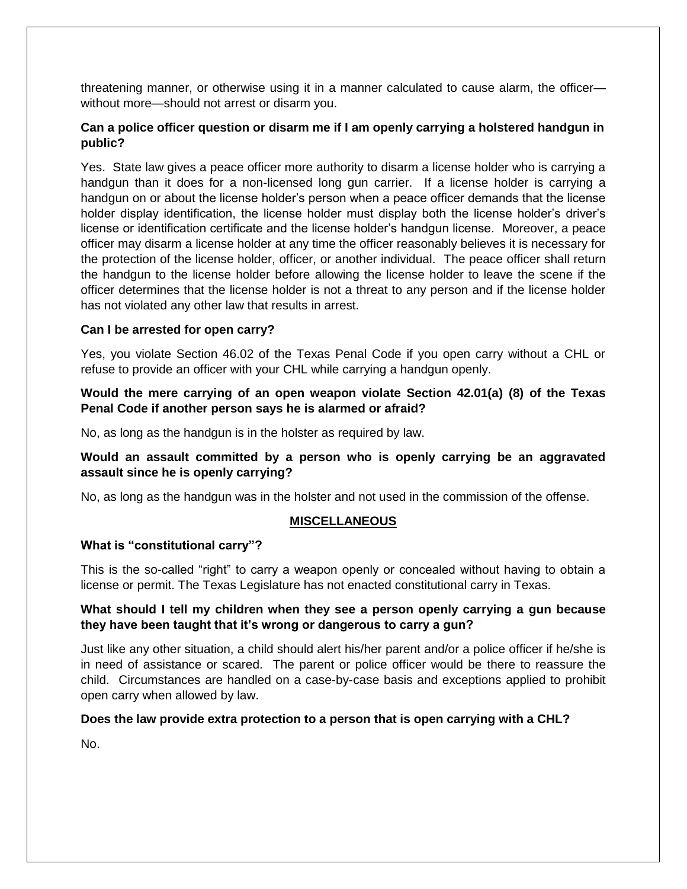threatening manner, or otherwise using it in a manner calculated to cause alarm, the officer without more—should not arrest or disarm you.

# **Can a police officer question or disarm me if I am openly carrying a holstered handgun in public?**

Yes. State law gives a peace officer more authority to disarm a license holder who is carrying a handgun than it does for a non-licensed long gun carrier. If a license holder is carrying a handgun on or about the license holder's person when a peace officer demands that the license holder display identification, the license holder must display both the license holder's driver's license or identification certificate and the license holder's handgun license. Moreover, a peace officer may disarm a license holder at any time the officer reasonably believes it is necessary for the protection of the license holder, officer, or another individual. The peace officer shall return the handgun to the license holder before allowing the license holder to leave the scene if the officer determines that the license holder is not a threat to any person and if the license holder has not violated any other law that results in arrest.

#### **Can I be arrested for open carry?**

Yes, you violate Section 46.02 of the Texas Penal Code if you open carry without a CHL or refuse to provide an officer with your CHL while carrying a handgun openly.

#### **Would the mere carrying of an open weapon violate Section 42.01(a) (8) of the Texas Penal Code if another person says he is alarmed or afraid?**

No, as long as the handgun is in the holster as required by law.

## **Would an assault committed by a person who is openly carrying be an aggravated assault since he is openly carrying?**

No, as long as the handgun was in the holster and not used in the commission of the offense.

## **MISCELLANEOUS**

#### **What is "constitutional carry"?**

This is the so-called "right" to carry a weapon openly or concealed without having to obtain a license or permit. The Texas Legislature has not enacted constitutional carry in Texas.

#### **What should I tell my children when they see a person openly carrying a gun because they have been taught that it's wrong or dangerous to carry a gun?**

Just like any other situation, a child should alert his/her parent and/or a police officer if he/she is in need of assistance or scared. The parent or police officer would be there to reassure the child. Circumstances are handled on a case-by-case basis and exceptions applied to prohibit open carry when allowed by law.

## **Does the law provide extra protection to a person that is open carrying with a CHL?**

No.